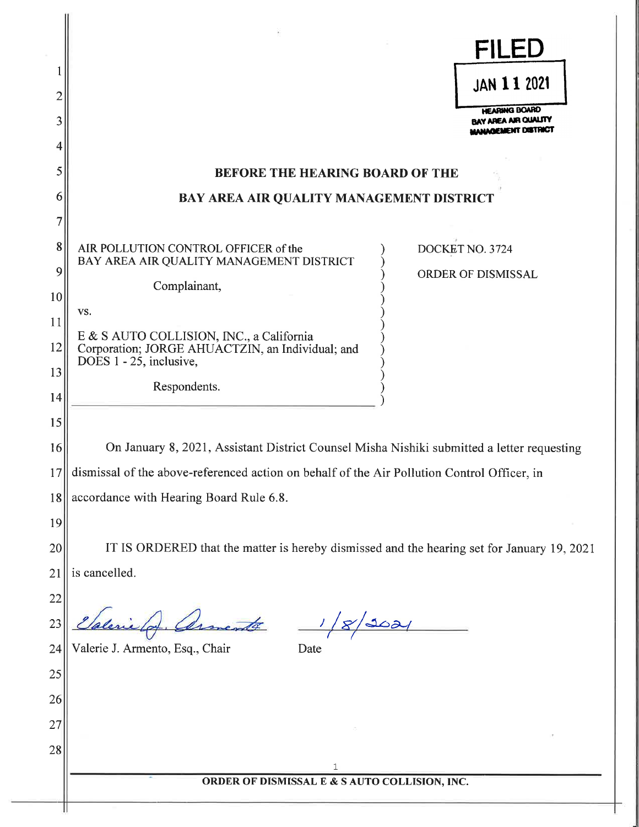|          | <b>FILED</b>                                                                                                            |  |  |
|----------|-------------------------------------------------------------------------------------------------------------------------|--|--|
|          | <b>JAN 11 2021</b>                                                                                                      |  |  |
| 2<br>3   | <b>HEARING BOARD</b><br><b>BAY AREA AIR QUALITY</b>                                                                     |  |  |
| 4        | <b>IANAGEMENT DISTRICT</b>                                                                                              |  |  |
| 5        | <b>BEFORE THE HEARING BOARD OF THE</b>                                                                                  |  |  |
| 6        | BAY AREA AIR QUALITY MANAGEMENT DISTRICT                                                                                |  |  |
| 7        |                                                                                                                         |  |  |
| 8<br>9   | AIR POLLUTION CONTROL OFFICER of the<br>DOCKET NO. 3724<br>BAY AREA AIR QUALITY MANAGEMENT DISTRICT                     |  |  |
| 10       | ORDER OF DISMISSAL<br>Complainant,                                                                                      |  |  |
| 11       | VS.                                                                                                                     |  |  |
| 12       | E & S AUTO COLLISION, INC., a California<br>Corporation; JORGE AHUACTZIN, an Individual; and<br>DOES 1 - 25, inclusive, |  |  |
| 13<br>14 | Respondents.                                                                                                            |  |  |
| 15       |                                                                                                                         |  |  |
| 16       | On January 8, 2021, Assistant District Counsel Misha Nishiki submitted a letter requesting                              |  |  |
| 17       | dismissal of the above-referenced action on behalf of the Air Pollution Control Officer, in                             |  |  |
| 18       | accordance with Hearing Board Rule 6.8.                                                                                 |  |  |
| 19       |                                                                                                                         |  |  |
| 20       | IT IS ORDERED that the matter is hereby dismissed and the hearing set for January 19, 2021                              |  |  |
| 21       | is cancelled.                                                                                                           |  |  |
| 22       |                                                                                                                         |  |  |
| 23       | menta<br><u> 1021</u>                                                                                                   |  |  |
| 24       | Valerie J. Armento, Esq., Chair<br>Date                                                                                 |  |  |
| 25       |                                                                                                                         |  |  |
| 26       |                                                                                                                         |  |  |
| 27       |                                                                                                                         |  |  |
| 28       |                                                                                                                         |  |  |
|          | ORDER OF DISMISSAL E & S AUTO COLLISION, INC.                                                                           |  |  |
|          |                                                                                                                         |  |  |